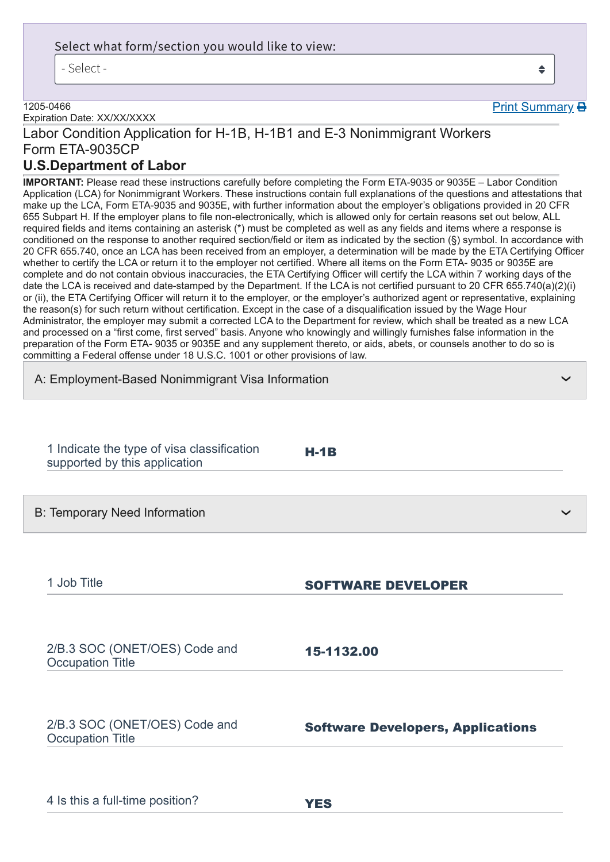### Select what form/section you would like to view:

- Select -

### ≜

**Print Summary B** 

❯

❯

1205-0466 Expiration Date: XX/XX/XXXX

# Labor Condition Application for H-1B, H-1B1 and E-3 Nonimmigrant Workers

## Form ETA-9035CP

### **U.S.Department of Labor**

**IMPORTANT:** Please read these instructions carefully before completing the Form ETA-9035 or 9035E – Labor Condition Application (LCA) for Nonimmigrant Workers. These instructions contain full explanations of the questions and attestations that make up the LCA, Form ETA-9035 and 9035E, with further information about the employer's obligations provided in 20 CFR 655 Subpart H. If the employer plans to file non-electronically, which is allowed only for certain reasons set out below, ALL required fields and items containing an asterisk (\*) must be completed as well as any fields and items where a response is conditioned on the response to another required section/field or item as indicated by the section (§) symbol. In accordance with 20 CFR 655.740, once an LCA has been received from an employer, a determination will be made by the ETA Certifying Officer whether to certify the LCA or return it to the employer not certified. Where all items on the Form ETA- 9035 or 9035E are complete and do not contain obvious inaccuracies, the ETA Certifying Officer will certify the LCA within 7 working days of the date the LCA is received and date-stamped by the Department. If the LCA is not certified pursuant to 20 CFR 655.740(a)(2)(i) or (ii), the ETA Certifying Officer will return it to the employer, or the employer's authorized agent or representative, explaining the reason(s) for such return without certification. Except in the case of a disqualification issued by the Wage Hour Administrator, the employer may submit a corrected LCA to the Department for review, which shall be treated as a new LCA and processed on a "first come, first served" basis. Anyone who knowingly and willingly furnishes false information in the preparation of the Form ETA- 9035 or 9035E and any supplement thereto, or aids, abets, or counsels another to do so is committing a Federal offense under 18 U.S.C. 1001 or other provisions of law.

A: Employment-Based Nonimmigrant Visa Information

| 1 Indicate the type of visa classification<br>supported by this application | $H-1B$ |  |
|-----------------------------------------------------------------------------|--------|--|
|-----------------------------------------------------------------------------|--------|--|

B: Temporary Need Information

1 Job Title **SOFTWARE DEVELOPER** 

2/B.3 SOC (ONET/OES) Code and Occupation Title

2/B.3 SOC (ONET/OES) Code and Occupation Title

Software Developers, Applications

| 4 Is this a full-time position? |  | <b>YES</b> |
|---------------------------------|--|------------|
|---------------------------------|--|------------|

15-1132.00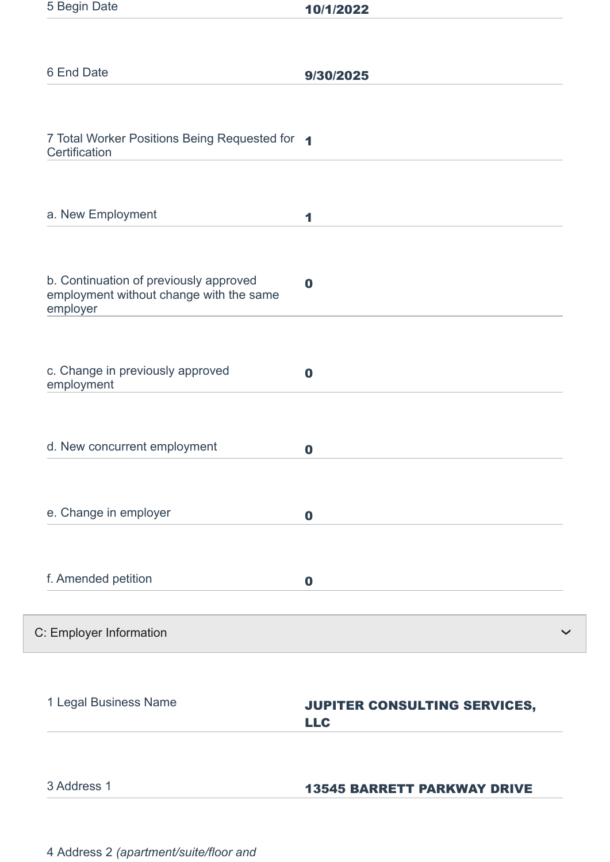| 5 Begin Date                                                                                  | 10/1/2022                                  |
|-----------------------------------------------------------------------------------------------|--------------------------------------------|
|                                                                                               |                                            |
| 6 End Date                                                                                    | 9/30/2025                                  |
|                                                                                               |                                            |
| 7 Total Worker Positions Being Requested for 1<br>Certification                               |                                            |
| a. New Employment                                                                             | 1                                          |
| b. Continuation of previously approved<br>employment without change with the same<br>employer | $\bf{0}$                                   |
| c. Change in previously approved<br>employment                                                | $\bf{0}$                                   |
| d. New concurrent employment                                                                  | $\bf{0}$                                   |
| e. Change in employer                                                                         | $\mathbf 0$                                |
| f. Amended petition                                                                           | $\bf{0}$                                   |
| C: Employer Information                                                                       |                                            |
| 1 Legal Business Name                                                                         | JUPITER CONSULTING SERVICES,<br><b>LLC</b> |
| 3 Address 1                                                                                   | <b>13545 BARRETT PARKWAY DRIVE</b>         |

4 Address 2 *(apartment/suite/floor and*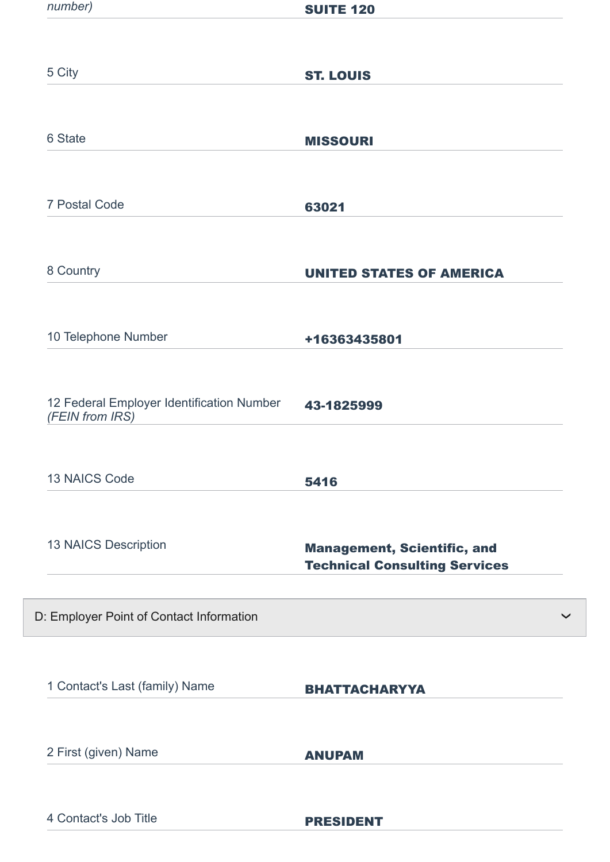| number)                                                      | <b>SUITE 120</b>                                                           |
|--------------------------------------------------------------|----------------------------------------------------------------------------|
|                                                              |                                                                            |
| 5 City                                                       | <b>ST. LOUIS</b>                                                           |
|                                                              |                                                                            |
| 6 State                                                      | <b>MISSOURI</b>                                                            |
| 7 Postal Code                                                | 63021                                                                      |
|                                                              |                                                                            |
| 8 Country                                                    | <b>UNITED STATES OF AMERICA</b>                                            |
| 10 Telephone Number                                          | +16363435801                                                               |
| 12 Federal Employer Identification Number<br>(FEIN from IRS) | 43-1825999                                                                 |
| <b>13 NAICS Code</b>                                         | 5416                                                                       |
| 13 NAICS Description                                         | <b>Management, Scientific, and</b><br><b>Technical Consulting Services</b> |
| D: Employer Point of Contact Information                     |                                                                            |
| 1 Contact's Last (family) Name                               | <b>BHATTACHARYYA</b>                                                       |
| 2 First (given) Name                                         | <b>ANUPAM</b>                                                              |
| 4 Contact's Job Title                                        | <b>PRESIDENT</b>                                                           |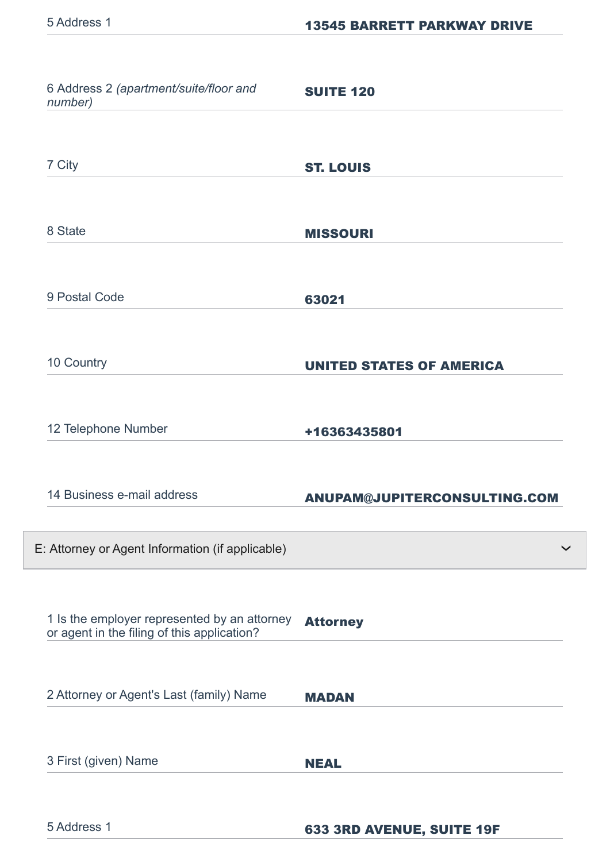| 6 Address 2 (apartment/suite/floor and<br>number)                                           | <b>SUITE 120</b>                |
|---------------------------------------------------------------------------------------------|---------------------------------|
| 7 City                                                                                      | <b>ST. LOUIS</b>                |
| 8 State                                                                                     | <b>MISSOURI</b>                 |
| 9 Postal Code                                                                               | 63021                           |
| 10 Country                                                                                  | <b>UNITED STATES OF AMERICA</b> |
| 12 Telephone Number                                                                         | +16363435801                    |
| 14 Business e-mail address                                                                  | ANUPAM@JUPITERCONSULTING.COM    |
| E: Attorney or Agent Information (if applicable)                                            |                                 |
| 1 Is the employer represented by an attorney<br>or agent in the filing of this application? | <b>Attorney</b>                 |
| 2 Attorney or Agent's Last (family) Name                                                    | <b>MADAN</b>                    |
| 3 First (given) Name                                                                        | <b>NEAL</b>                     |
| 5 Address 1                                                                                 | 633 3RD AVENUE, SUITE 19F       |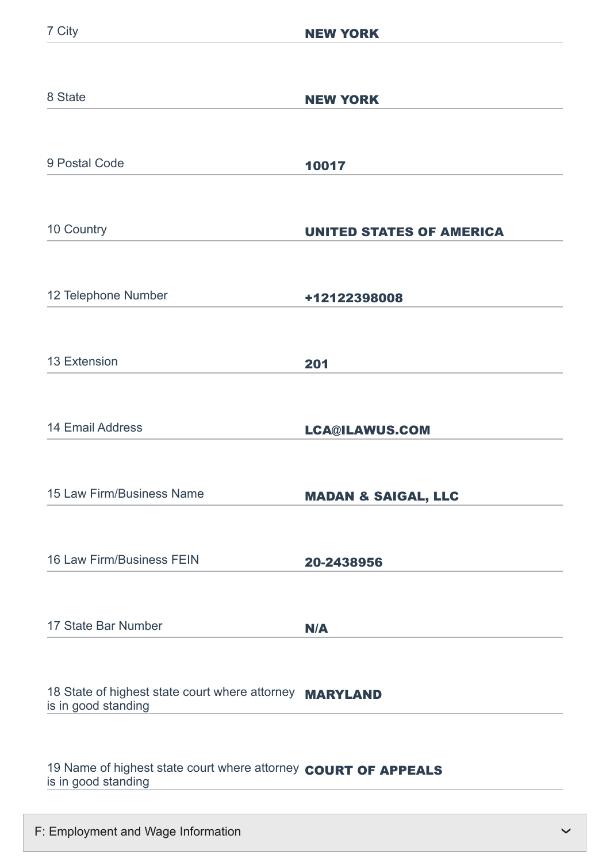| 8 State                                                                        | <b>NEW YORK</b>                 |
|--------------------------------------------------------------------------------|---------------------------------|
|                                                                                |                                 |
| 9 Postal Code                                                                  | 10017                           |
|                                                                                |                                 |
| 10 Country                                                                     | <b>UNITED STATES OF AMERICA</b> |
|                                                                                |                                 |
| 12 Telephone Number                                                            | +12122398008                    |
|                                                                                |                                 |
| 13 Extension                                                                   | 201                             |
|                                                                                |                                 |
| <b>14 Email Address</b>                                                        | <b>LCA@ILAWUS.COM</b>           |
|                                                                                |                                 |
| 15 Law Firm/Business Name                                                      | <b>MADAN &amp; SAIGAL, LLC</b>  |
|                                                                                |                                 |
| 16 Law Firm/Business FEIN                                                      | 20-2438956                      |
|                                                                                |                                 |
| 17 State Bar Number                                                            | N/A                             |
|                                                                                |                                 |
| 18 State of highest state court where attorney MARYLAND<br>is in good standing |                                 |
|                                                                                |                                 |
| 19 Name of highest state court where attorney COURT OF APPEALS                 |                                 |
| is in good standing                                                            |                                 |

F: Employment and Wage Information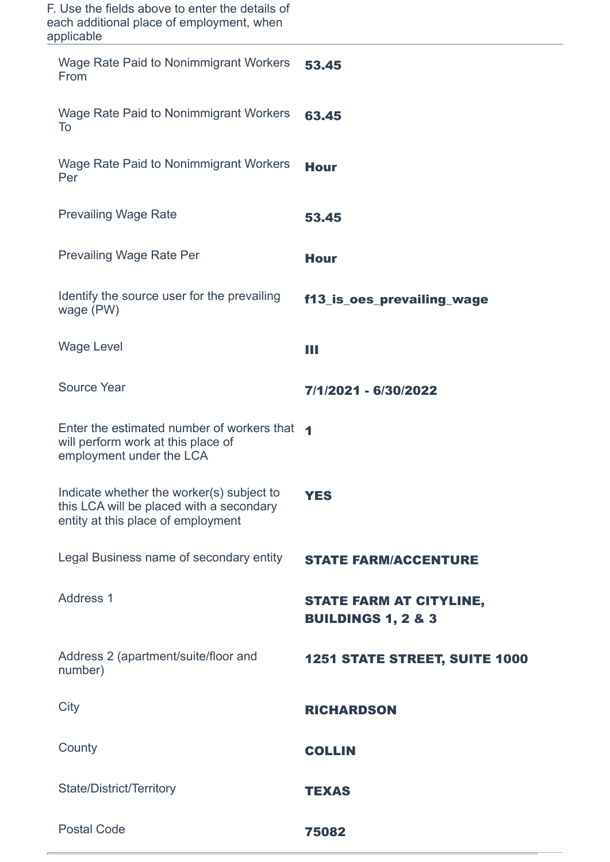| F. Use the fields above to enter the details of<br>each additional place of employment, when<br>applicable                  |                                                                 |
|-----------------------------------------------------------------------------------------------------------------------------|-----------------------------------------------------------------|
| Wage Rate Paid to Nonimmigrant Workers<br>From                                                                              | 53.45                                                           |
| <b>Wage Rate Paid to Nonimmigrant Workers</b><br>To                                                                         | 63.45                                                           |
| Wage Rate Paid to Nonimmigrant Workers<br>Per                                                                               | <b>Hour</b>                                                     |
| <b>Prevailing Wage Rate</b>                                                                                                 | 53.45                                                           |
| <b>Prevailing Wage Rate Per</b>                                                                                             | <b>Hour</b>                                                     |
| Identify the source user for the prevailing<br>wage (PW)                                                                    | f13_is_oes_prevailing_wage                                      |
| <b>Wage Level</b>                                                                                                           | Ш                                                               |
| <b>Source Year</b>                                                                                                          | 7/1/2021 - 6/30/2022                                            |
| Enter the estimated number of workers that 4<br>will perform work at this place of<br>employment under the LCA              |                                                                 |
| Indicate whether the worker(s) subject to<br>this LCA will be placed with a secondary<br>entity at this place of employment | <b>YES</b>                                                      |
| Legal Business name of secondary entity                                                                                     | <b>STATE FARM/ACCENTURE</b>                                     |
| Address 1                                                                                                                   | <b>STATE FARM AT CITYLINE,</b><br><b>BUILDINGS 1, 2 &amp; 3</b> |
| Address 2 (apartment/suite/floor and<br>number)                                                                             | <b>1251 STATE STREET, SUITE 1000</b>                            |
| City                                                                                                                        | <b>RICHARDSON</b>                                               |
| County                                                                                                                      | <b>COLLIN</b>                                                   |
| State/District/Territory                                                                                                    | <b>TEXAS</b>                                                    |
| <b>Postal Code</b>                                                                                                          | 75082                                                           |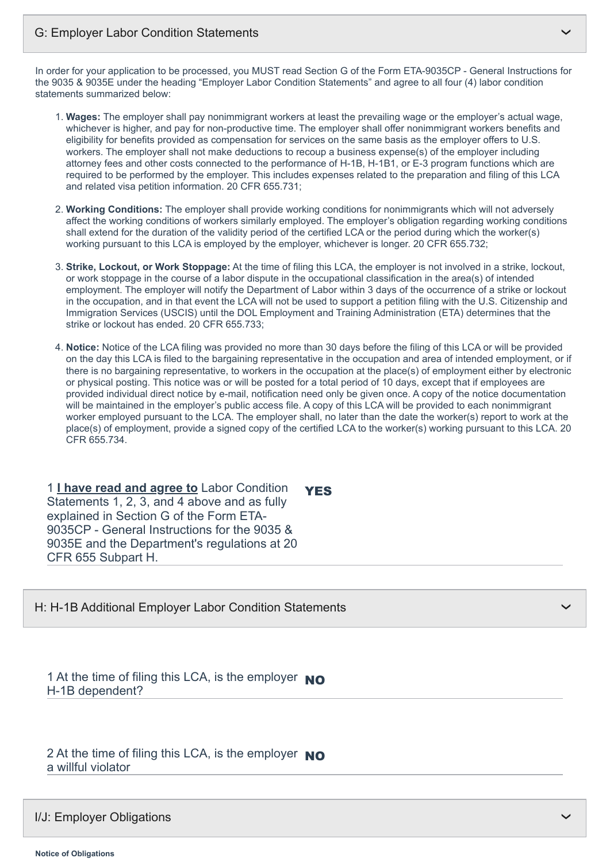In order for your application to be processed, you MUST read Section G of the Form ETA-9035CP - General Instructions for the 9035 & 9035E under the heading "Employer Labor Condition Statements" and agree to all four (4) labor condition statements summarized below:

- 1. **Wages:** The employer shall pay nonimmigrant workers at least the prevailing wage or the employer's actual wage, whichever is higher, and pay for non-productive time. The employer shall offer nonimmigrant workers benefits and eligibility for benefits provided as compensation for services on the same basis as the employer offers to U.S. workers. The employer shall not make deductions to recoup a business expense(s) of the employer including attorney fees and other costs connected to the performance of H-1B, H-1B1, or E-3 program functions which are required to be performed by the employer. This includes expenses related to the preparation and filing of this LCA and related visa petition information. 20 CFR 655.731;
- 2. **Working Conditions:** The employer shall provide working conditions for nonimmigrants which will not adversely affect the working conditions of workers similarly employed. The employer's obligation regarding working conditions shall extend for the duration of the validity period of the certified LCA or the period during which the worker(s) working pursuant to this LCA is employed by the employer, whichever is longer. 20 CFR 655.732;
- 3. **Strike, Lockout, or Work Stoppage:** At the time of filing this LCA, the employer is not involved in a strike, lockout, or work stoppage in the course of a labor dispute in the occupational classification in the area(s) of intended employment. The employer will notify the Department of Labor within 3 days of the occurrence of a strike or lockout in the occupation, and in that event the LCA will not be used to support a petition filing with the U.S. Citizenship and Immigration Services (USCIS) until the DOL Employment and Training Administration (ETA) determines that the strike or lockout has ended. 20 CFR 655.733;
- 4. **Notice:** Notice of the LCA filing was provided no more than 30 days before the filing of this LCA or will be provided on the day this LCA is filed to the bargaining representative in the occupation and area of intended employment, or if there is no bargaining representative, to workers in the occupation at the place(s) of employment either by electronic or physical posting. This notice was or will be posted for a total period of 10 days, except that if employees are provided individual direct notice by e-mail, notification need only be given once. A copy of the notice documentation will be maintained in the employer's public access file. A copy of this LCA will be provided to each nonimmigrant worker employed pursuant to the LCA. The employer shall, no later than the date the worker(s) report to work at the place(s) of employment, provide a signed copy of the certified LCA to the worker(s) working pursuant to this LCA. 20 CFR 655.734.

1 **I have read and agree to** Labor Condition Statements 1, 2, 3, and 4 above and as fully explained in Section G of the Form ETA-9035CP - General Instructions for the 9035 & 9035E and the Department's regulations at 20 CFR 655 Subpart H. **YES** 

H: H-1B Additional Employer Labor Condition Statements

1 At the time of filing this LCA, is the employer  $\overline{NO}$ H-1B dependent?

2 At the time of filing this LCA, is the employer NO a willful violator

#### I/J: Employer Obligations

❯

❯